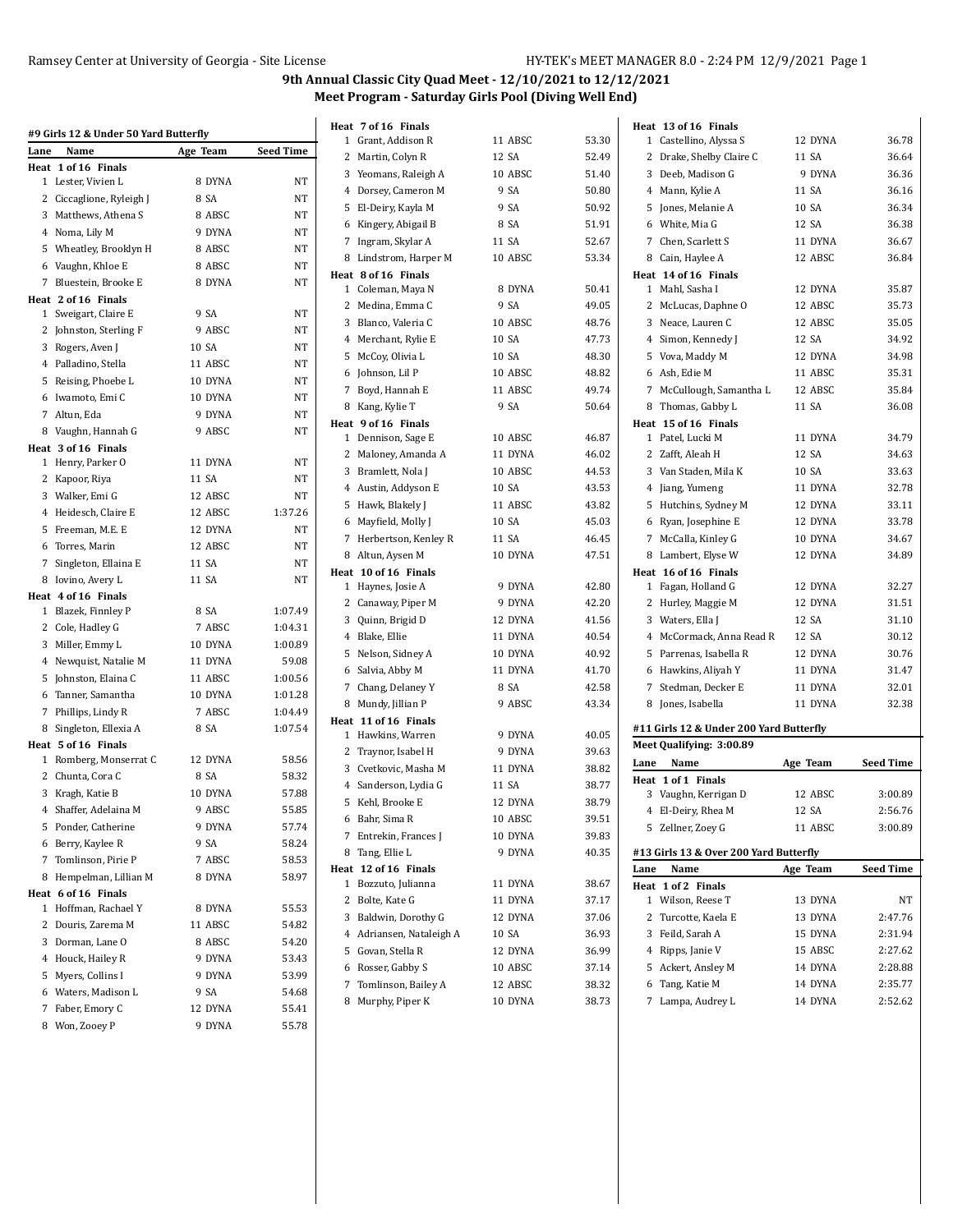|      | #9 Girls 12 & Under 50 Yard Butterfly |          |                  | Heat 7 of               |
|------|---------------------------------------|----------|------------------|-------------------------|
| Lane | Name                                  | Age Team | <b>Seed Time</b> | 1 Grant                 |
|      | Heat 1 of 16 Finals                   |          |                  | 2<br>Marti              |
|      | 1 Lester, Vivien L                    | 8 DYNA   | NΤ               | 3<br>Yeom               |
|      | 2 Ciccaglione, Ryleigh J              | 8 SA     | NΤ               | 4<br>Dorse              |
|      | 3 Matthews, Athena S                  | 8 ABSC   | NΤ               | 5<br>El-De              |
|      | 4 Noma, Lily M                        | 9 DYNA   | NΤ               | 6 Kinge                 |
|      | 5 Wheatley, Brooklyn H                | 8 ABSC   | NΤ               | 7<br>Ingra              |
|      | 6 Vaughn, Khloe E                     | 8 ABSC   | NT               | Linds<br>8              |
|      | 7 Bluestein, Brooke E                 | 8 DYNA   | NΤ               | Heat 8 of               |
|      | Heat 2 of 16 Finals                   |          |                  | 1 Colen                 |
|      | 1 Sweigart, Claire E                  | 9 SA     | NΤ               | 2 Medi                  |
|      | 2 Johnston, Sterling F                | 9 ABSC   | NT               | 3 Blanc                 |
|      | 3 Rogers, Aven J                      | 10 SA    | NΤ               | Mercl<br>4              |
|      | 4 Palladino, Stella                   | 11 ABSC  | NΤ               | 5<br>McCo               |
|      | 5 Reising, Phoebe L                   | 10 DYNA  | NT               | 6<br>Johns              |
|      | 6 Iwamoto, Emi C                      | 10 DYNA  | NΤ               | 7<br>Boyd,              |
|      | 7 Altun, Eda                          | 9 DYNA   | NΤ               | 8 Kang,                 |
|      | 8 Vaughn, Hannah G                    | 9 ABSC   | NΤ               | Heat 9 of:              |
|      | Heat 3 of 16 Finals                   |          |                  | 1<br>Denn:              |
|      | 1 Henry, Parker O                     | 11 DYNA  | NT               | 2 Malor                 |
|      | 2 Kapoor, Riya                        | 11 SA    | NΤ               | 3<br><b>Bram</b>        |
|      | 3 Walker, Emi G                       | 12 ABSC  | NΤ               | 4<br>Austi              |
|      | 4 Heidesch, Claire E                  | 12 ABSC  | 1:37.26          | 5 Hawk                  |
|      | 5 Freeman, M.E. E                     | 12 DYNA  | NΤ               | Mayfi<br>6              |
|      | 6 Torres, Marin                       | 12 ABSC  | NT               | 7<br>Herbe              |
|      | 7 Singleton, Ellaina E                | 11 SA    | NΤ               | 8<br>Altun              |
|      | 8 Iovino, Avery L                     | 11 SA    | NT               | Heat 10 of              |
|      | Heat 4 of 16 Finals                   |          |                  | 1<br>Hayn               |
|      | 1 Blazek, Finnley P                   | 8 SA     | 1:07.49          | 2 Canay                 |
|      | 2 Cole, Hadley G                      | 7 ABSC   | 1:04.31          | 3<br>Quinr              |
|      | 3 Miller, Emmy L                      | 10 DYNA  | 1:00.89          | Blake<br>4              |
|      | 4 Newquist, Natalie M                 | 11 DYNA  | 59.08            | 5 Nelso                 |
|      | 5 Johnston, Elaina C                  | 11 ABSC  | 1:00.56          | 6<br>Salvia             |
|      | 6 Tanner, Samantha                    | 10 DYNA  | 1:01.28          | 7<br>Chang              |
|      | 7 Phillips, Lindy R                   | 7 ABSC   | 1:04.49          | Mund<br>8               |
|      | 8 Singleton, Ellexia A                | 8 SA     | 1:07.54          | Heat 11 of              |
|      | Heat 5 of 16 Finals                   |          |                  | 1 Hawk                  |
|      | 1 Romberg, Monserrat C                | 12 DYNA  | 58.56            | 2 Trayn                 |
|      | 2 Chunta, Cora C                      | 8 SA     | 58.32            | 3<br>Cvetk              |
|      | 3 Kragh, Katie B                      | 10 DYNA  | 57.88            | $^{4}$<br>Sande         |
|      | 4 Shaffer, Adelaina M                 | 9 ABSC   | 55.85            | 5 Kehl,                 |
|      | 5 Ponder, Catherine                   | 9 DYNA   | 57.74            | 6 Bahr,                 |
| 6    | Berry, Kaylee R                       | 9 SA     | 58.24            | 7<br>Entre              |
| 7    | Tomlinson, Pirie P                    | 7 ABSC   | 58.53            | 8<br>Tang,              |
| 8    | Hempelman, Lillian M                  | 8 DYNA   | 58.97            | Heat 12 of              |
|      | Heat 6 of 16 Finals                   |          |                  | 1<br>Bozzu              |
|      | 1 Hoffman, Rachael Y                  | 8 DYNA   | 55.53            | 2<br>Bolte,             |
| 2    | Douris, Zarema M                      | 11 ABSC  | 54.82            | 3<br>Baldv              |
|      | 3 Dorman, Lane O                      | 8 ABSC   | 54.20            | $\overline{4}$<br>Adria |
|      | 4 Houck, Hailey R                     | 9 DYNA   | 53.43            | 5<br>Govar              |
|      | 5 Myers, Collins I                    | 9 DYNA   | 53.99            | 6<br>Rosse              |
|      | 6 Waters, Madison L                   | 9 SA     | 54.68            | 7<br>Tomli              |
| 7    | Faber, Emory C                        | 12 DYNA  | 55.41            | Murp<br>8               |
| 8    | Won, Zooey P                          | 9 DYNA   | 55.78            |                         |
|      |                                       |          |                  |                         |

| at 7 of 16 Finals                         |         |       | Heat 13 of 16 Finals                           |          |                  |
|-------------------------------------------|---------|-------|------------------------------------------------|----------|------------------|
| 1 Grant, Addison R                        | 11 ABSC | 53.30 | 1 Castellino, Alyssa S                         | 12 DYNA  | 36.78            |
| 2 Martin, Colyn R                         | 12 SA   | 52.49 | 2 Drake, Shelby Claire C                       | 11 SA    | 36.64            |
| 3 Yeomans, Raleigh A                      | 10 ABSC | 51.40 | 3 Deeb, Madison G                              | 9 DYNA   | 36.36            |
| 4 Dorsey, Cameron M                       | 9 SA    | 50.80 | 4 Mann, Kylie A                                | 11 SA    | 36.16            |
| 5 El-Deiry, Kayla M                       | 9 SA    | 50.92 | 5 Jones, Melanie A                             | 10 SA    | 36.34            |
| 6 Kingery, Abigail B                      | 8 SA    | 51.91 | 6 White, Mia G                                 | 12 SA    | 36.38            |
| 7 Ingram, Skylar A                        | 11 SA   | 52.67 | Chen, Scarlett S<br>7                          | 11 DYNA  | 36.67            |
| 8 Lindstrom, Harper M                     | 10 ABSC | 53.34 | 8 Cain, Haylee A                               | 12 ABSC  | 36.84            |
| at 8 of 16 Finals                         |         |       | Heat 14 of 16 Finals                           |          |                  |
| 1   Coleman, Maya N                       | 8 DYNA  | 50.41 | 1 Mahl, Sasha I                                | 12 DYNA  | 35.87            |
| 2 Medina, Emma C                          | 9 SA    | 49.05 | 2 McLucas, Daphne O                            | 12 ABSC  | 35.73            |
| 3 Blanco, Valeria C                       | 10 ABSC | 48.76 | 3 Neace, Lauren C                              | 12 ABSC  | 35.05            |
| 4 Merchant, Rylie E                       | 10 SA   | 47.73 | 4 Simon, Kennedy J                             | 12 SA    | 34.92            |
| 5 McCoy, Olivia L                         | 10 SA   | 48.30 | 5 Vova, Maddy M                                | 12 DYNA  | 34.98            |
| 6 Johnson, Lil P                          | 10 ABSC | 48.82 | 6 Ash, Edie M                                  | 11 ABSC  | 35.31            |
| 7 Boyd, Hannah E                          | 11 ABSC | 49.74 | 7 McCullough, Samantha L                       | 12 ABSC  | 35.84            |
| 8 Kang, Kylie T                           | 9 SA    | 50.64 | 8 Thomas, Gabby L                              | 11 SA    | 36.08            |
| at 9 of 16 Finals                         |         |       | Heat 15 of 16 Finals                           |          |                  |
| 1 Dennison, Sage E                        | 10 ABSC | 46.87 | 1 Patel, Lucki M                               | 11 DYNA  | 34.79            |
| 2 Maloney, Amanda A                       | 11 DYNA | 46.02 | 2 Zafft, Aleah H                               | 12 SA    | 34.63            |
| 3 Bramlett, Nola J                        | 10 ABSC | 44.53 | 3 Van Staden, Mila K                           | 10 SA    | 33.63            |
| 4 Austin, Addyson E                       | 10 SA   | 43.53 | 4 Jiang, Yumeng                                | 11 DYNA  | 32.78            |
| 5 Hawk, Blakely J                         | 11 ABSC | 43.82 | 5 Hutchins, Sydney M                           | 12 DYNA  | 33.11            |
| 6 Mayfield, Molly J                       | 10 SA   | 45.03 | 6 Ryan, Josephine E                            | 12 DYNA  | 33.78            |
| 7 Herbertson, Kenley R                    | 11 SA   | 46.45 | 7 McCalla, Kinley G                            | 10 DYNA  | 34.67            |
| 8 Altun, Aysen M                          | 10 DYNA | 47.51 | 8 Lambert, Elyse W                             | 12 DYNA  | 34.89            |
| at 10 of 16 Finals                        |         |       | Heat 16 of 16 Finals                           |          |                  |
| 1 Haynes, Josie A                         | 9 DYNA  | 42.80 | 1 Fagan, Holland G                             | 12 DYNA  | 32.27            |
| 2   Canaway, Piper M                      | 9 DYNA  | 42.20 | 2 Hurley, Maggie M                             | 12 DYNA  | 31.51            |
| 3 Quinn, Brigid D                         | 12 DYNA | 41.56 | 3 Waters, Ella J                               | 12 SA    | 31.10            |
| 4 Blake, Ellie                            | 11 DYNA | 40.54 | 4 McCormack, Anna Read R                       | 12 SA    | 30.12            |
| 5 Nelson, Sidney A                        | 10 DYNA | 40.92 | 5 Parrenas, Isabella R                         | 12 DYNA  | 30.76            |
| 6 Salvia, Abby M                          | 11 DYNA | 41.70 | 6 Hawkins, Aliyah Y                            | 11 DYNA  | 31.47            |
| 7 Chang, Delaney Y                        | 8 SA    | 42.58 | 7 Stedman, Decker E                            | 11 DYNA  | 32.01            |
| 8 Mundy, Jillian P                        | 9 ABSC  | 43.34 | 8 Jones, Isabella                              | 11 DYNA  | 32.38            |
| at 11 of 16 Finals                        |         |       |                                                |          |                  |
| 1 Hawkins, Warren                         | 9 DYNA  | 40.05 | #11 Girls 12 & Under 200 Yard Butterfly        |          |                  |
| 2 Traynor, Isabel H                       | 9 DYNA  | 39.63 | Meet Qualifying: 3:00.89                       |          |                  |
| 3 Cvetkovic, Masha M                      | 11 DYNA | 38.82 | Name<br>Lane                                   | Age Team | <b>Seed Time</b> |
| 4 Sanderson, Lydia G                      | 11 SA   | 38.77 | Heat 1 of 1 Finals                             |          |                  |
| 5 Kehl, Brooke E                          | 12 DYNA | 38.79 | 3 Vaughn, Kerrigan D                           | 12 ABSC  | 3:00.89          |
| 6 Bahr, Sima R                            | 10 ABSC | 39.51 | 4 El-Deiry, Rhea M                             | 12 SA    | 2:56.76          |
| 7 Entrekin, Frances J                     | 10 DYNA | 39.83 | 5 Zellner, Zoey G                              | 11 ABSC  | 3:00.89          |
| 8 Tang, Ellie L                           | 9 DYNA  | 40.35 |                                                |          |                  |
|                                           |         |       | #13 Girls 13 & Over 200 Yard Butterfly<br>Lane |          |                  |
| at 12 of 16 Finals<br>1 Bozzuto, Julianna | 11 DYNA | 38.67 | Name<br>Heat 1 of 2 Finals                     | Age Team | Seed Time        |
| 2 Bolte, Kate G                           | 11 DYNA | 37.17 | 1 Wilson, Reese T                              | 13 DYNA  | NΤ               |
| 3 Baldwin, Dorothy G                      | 12 DYNA | 37.06 | 2 Turcotte, Kaela E                            | 13 DYNA  | 2:47.76          |
| 4 Adriansen, Nataleigh A                  | 10 SA   | 36.93 | 3 Feild, Sarah A                               | 15 DYNA  | 2:31.94          |
| 5 Govan, Stella R                         | 12 DYNA | 36.99 | 4 Ripps, Janie V                               | 15 ABSC  | 2:27.62          |
|                                           |         |       |                                                |          |                  |
| 6 Rosser, Gabby S                         | 10 ABSC | 37.14 | 5 Ackert, Ansley M                             | 14 DYNA  | 2:28.88          |
| 7 Tomlinson, Bailey A                     | 12 ABSC | 38.32 | 6 Tang, Katie M                                | 14 DYNA  | 2:35.77          |
| 8 Murphy, Piper K                         | 10 DYNA | 38.73 | 7 Lampa, Audrey L                              | 14 DYNA  | 2:52.62          |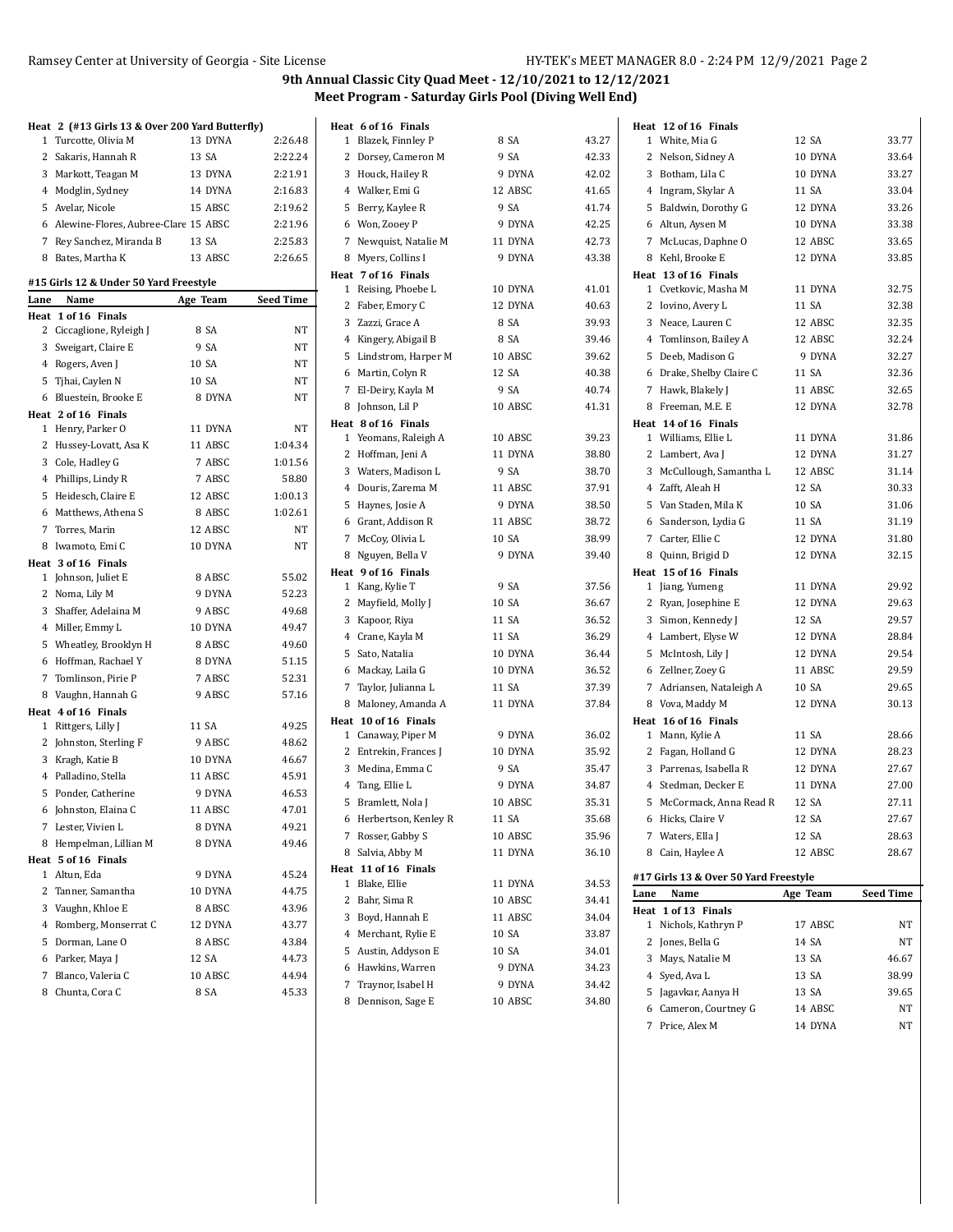$\overline{a}$ 

|      | Heat 2 (#13 Girls 13 & Over 200 Yard Butterfly) |          |                  |
|------|-------------------------------------------------|----------|------------------|
|      | 1 Turcotte, Olivia M                            | 13 DYNA  | 2:26.48          |
|      | 2 Sakaris, Hannah R                             | 13 SA    | 2:22.24          |
|      | 3 Markott, Teagan M                             | 13 DYNA  | 2:21.91          |
|      | 4 Modglin, Sydney                               | 14 DYNA  | 2:16.83          |
|      | 5 Avelar, Nicole                                | 15 ABSC  | 2:19.62          |
|      | 6 Alewine-Flores, Aubree-Clare 15 ABSC          |          | 2:21.96          |
|      | 7 Rey Sanchez, Miranda B                        | 13 SA    | 2:25.83          |
|      | 8 Bates, Martha K                               | 13 ABSC  | 2:26.65          |
|      | #15 Girls 12 & Under 50 Yard Freestyle          |          |                  |
| Lane | Name                                            | Age Team | <b>Seed Time</b> |
|      | Heat 1 of 16 Finals                             |          |                  |
|      | 2 Ciccaglione, Ryleigh J                        | 8 SA     | NΤ               |
|      | 3 Sweigart, Claire E                            | 9 SA     | NT               |
|      | 4 Rogers, Aven J                                | 10 SA    | NT               |
|      | 5 Tjhai, Caylen N                               | 10 SA    | NT               |
|      | 6 Bluestein, Brooke E                           | 8 DYNA   | NT               |
|      | Heat 2 of 16 Finals                             |          |                  |
|      | 1 Henry, Parker O                               | 11 DYNA  | NT               |
|      | 2 Hussey-Lovatt, Asa K                          | 11 ABSC  | 1:04.34          |
|      | 3 Cole, Hadley G                                | 7 ABSC   | 1:01.56          |
|      | 4 Phillips, Lindy R                             | 7 ABSC   | 58.80            |
|      | 5 Heidesch, Claire E                            | 12 ABSC  | 1:00.13          |
|      | 6 Matthews, Athena S                            | 8 ABSC   | 1:02.61          |
|      | 7 Torres, Marin                                 | 12 ABSC  | NT               |
|      | 8 Iwamoto, Emi C                                | 10 DYNA  | NT               |
|      | Heat 3 of 16 Finals                             |          |                  |
|      | 1 Johnson, Juliet E                             | 8 ABSC   | 55.02            |
|      | 2 Noma, Lily M                                  | 9 DYNA   | 52.23            |
|      | 3 Shaffer, Adelaina M                           | 9 ABSC   | 49.68            |
|      | 4 Miller, Emmy L                                | 10 DYNA  | 49.47            |
|      | 5 Wheatley, Brooklyn H                          | 8 ABSC   | 49.60            |
|      | 6 Hoffman, Rachael Y                            | 8 DYNA   | 51.15            |
|      | 7 Tomlinson, Pirie P                            | 7 ABSC   | 52.31            |
|      | 8 Vaughn, Hannah G                              | 9 ABSC   | 57.16            |
|      | Heat 4 of 16 Finals                             |          |                  |
|      | 1 Rittgers, Lilly J                             | 11 SA    | 49.25            |
|      | 2 Johnston, Sterling F                          | 9 ABSC   | 48.62            |
|      | 3 Kragh, Katie B                                | 10 DYNA  | 46.67            |
|      | 4 Palladino, Stella                             | 11 ABSC  | 45.91            |
|      | 5 Ponder, Catherine                             | 9 DYNA   | 46.53            |
| 6    | Johnston, Elaina C                              | 11 ABSC  | 47.01            |
|      | 7 Lester, Vivien L                              | 8 DYNA   | 49.21            |
| 8    |                                                 | 8 DYNA   | 49.46            |
|      | Hempelman, Lillian M<br>Heat 5 of 16 Finals     |          |                  |
|      | 1 Altun, Eda                                    | 9 DYNA   | 45.24            |
|      | 2 Tanner, Samantha                              | 10 DYNA  | 44.75            |
|      | 3 Vaughn, Khloe E                               | 8 ABSC   | 43.96            |
|      | 4 Romberg, Monserrat C                          | 12 DYNA  | 43.77            |
|      |                                                 |          |                  |
|      | 5 Dorman, Lane O                                | 8 ABSC   | 43.84            |
|      | 6 Parker, Maya J                                | 12 SA    | 44.73            |
|      | 7 Blanco, Valeria C                             | 10 ABSC  | 44.94            |
| 8    | Chunta, Cora C                                  | 8 SA     | 45.33            |

| Heat 6 of 16 Finals                    |         |       | Heat 12 of 16 Finals                    |          |                  |
|----------------------------------------|---------|-------|-----------------------------------------|----------|------------------|
| 1 Blazek, Finnley P                    | 8 SA    | 43.27 | 1 White, Mia G                          | 12 SA    | 33.77            |
| 2 Dorsey, Cameron M                    | 9 SA    | 42.33 | 2 Nelson, Sidney A                      | 10 DYNA  | 33.64            |
| 3 Houck, Hailey R                      | 9 DYNA  | 42.02 | 3 Botham, Lila C                        | 10 DYNA  | 33.27            |
| 4 Walker, Emi G                        | 12 ABSC | 41.65 | 4 Ingram, Skylar A                      | 11 SA    | 33.04            |
| 5 Berry, Kaylee R                      | 9 SA    | 41.74 | 5 Baldwin, Dorothy G                    | 12 DYNA  | 33.26            |
| 6 Won, Zooey P                         | 9 DYNA  | 42.25 | 6 Altun, Aysen M                        | 10 DYNA  | 33.38            |
| 7 Newquist, Natalie M                  | 11 DYNA | 42.73 | 7 McLucas, Daphne O                     | 12 ABSC  | 33.65            |
| 8 Myers, Collins I                     | 9 DYNA  | 43.38 | 8 Kehl, Brooke E                        | 12 DYNA  | 33.85            |
| Heat 7 of 16 Finals                    |         |       | Heat 13 of 16 Finals                    |          |                  |
| 1 Reising, Phoebe L                    | 10 DYNA | 41.01 | 1 Cvetkovic, Masha M                    | 11 DYNA  | 32.75            |
| 2 Faber, Emory C                       | 12 DYNA | 40.63 | 2 Iovino, Avery L                       | 11 SA    | 32.38            |
| 3 Zazzi, Grace A                       | 8 SA    | 39.93 | 3 Neace, Lauren C                       | 12 ABSC  | 32.35            |
| 4 Kingery, Abigail B                   | 8 SA    | 39.46 | 4 Tomlinson, Bailey A                   | 12 ABSC  | 32.24            |
| 5 Lindstrom, Harper M                  | 10 ABSC | 39.62 | 5 Deeb, Madison G                       | 9 DYNA   | 32.27            |
| 6 Martin, Colyn R                      | 12 SA   | 40.38 | 6 Drake, Shelby Claire C                | 11 SA    | 32.36            |
| 7 El-Deiry, Kayla M                    | 9 SA    | 40.74 | 7 Hawk, Blakely J                       | 11 ABSC  | 32.65            |
| 8 Johnson, Lil P                       | 10 ABSC | 41.31 | 8 Freeman, M.E. E                       | 12 DYNA  | 32.78            |
| Heat 8 of 16 Finals                    |         |       | Heat 14 of 16 Finals                    |          |                  |
| 1 Yeomans, Raleigh A                   | 10 ABSC | 39.23 | 1 Williams, Ellie L                     | 11 DYNA  | 31.86            |
| 2 Hoffman, Jeni A                      | 11 DYNA | 38.80 | 2 Lambert, Ava J                        | 12 DYNA  | 31.27            |
| 3 Waters, Madison L                    | 9 SA    | 38.70 | 3 McCullough, Samantha L                | 12 ABSC  | 31.14            |
| 4 Douris, Zarema M                     | 11 ABSC | 37.91 | 4 Zafft, Aleah H                        | 12 SA    | 30.33            |
| 5 Haynes, Josie A                      | 9 DYNA  | 38.50 | 5 Van Staden, Mila K                    | 10 SA    | 31.06            |
| 6 Grant, Addison R                     | 11 ABSC | 38.72 | 6 Sanderson, Lydia G                    | 11 SA    | 31.19            |
| 7 McCoy, Olivia L                      | 10 SA   | 38.99 | 7 Carter, Ellie C                       | 12 DYNA  | 31.80            |
| 8 Nguyen, Bella V                      | 9 DYNA  | 39.40 | Quinn, Brigid D<br>8                    | 12 DYNA  | 32.15            |
| Heat 9 of 16 Finals<br>1 Kang, Kylie T | 9 SA    | 37.56 | Heat 15 of 16 Finals<br>1 Jiang, Yumeng | 11 DYNA  | 29.92            |
| 2 Mayfield, Molly J                    | 10 SA   | 36.67 | 2 Ryan, Josephine E                     | 12 DYNA  | 29.63            |
| 3 Kapoor, Riya                         | 11 SA   | 36.52 | 3 Simon, Kennedy J                      | 12 SA    | 29.57            |
| 4 Crane, Kayla M                       | 11 SA   | 36.29 | 4 Lambert, Elyse W                      | 12 DYNA  | 28.84            |
| 5 Sato, Natalia                        | 10 DYNA | 36.44 | 5 McIntosh, Lily J                      | 12 DYNA  | 29.54            |
| 6 Mackay, Laila G                      | 10 DYNA | 36.52 | 6 Zellner, Zoey G                       | 11 ABSC  | 29.59            |
| 7 Taylor, Julianna L                   | 11 SA   | 37.39 | 7 Adriansen, Nataleigh A                | 10 SA    | 29.65            |
| 8 Maloney, Amanda A                    | 11 DYNA | 37.84 | 8 Vova, Maddy M                         | 12 DYNA  | 30.13            |
| Heat 10 of 16 Finals                   |         |       | Heat 16 of 16 Finals                    |          |                  |
| 1 Canaway, Piper M                     | 9 DYNA  | 36.02 | 1 Mann, Kylie A                         | 11 SA    | 28.66            |
| 2 Entrekin, Frances J                  | 10 DYNA | 35.92 | 2 Fagan, Holland G                      | 12 DYNA  | 28.23            |
| 3 Medina, Emma C                       | 9 SA    | 35.47 | 3 Parrenas, Isabella R                  | 12 DYNA  | 27.67            |
| 4 Tang, Ellie L                        | 9 DYNA  | 34.87 | 4 Stedman, Decker E                     | 11 DYNA  | 27.00            |
| 5 Bramlett, Nola J                     | 10 ABSC | 35.31 | 5 McCormack, Anna Read R                | 12 SA    | 27.11            |
| 6 Herbertson, Kenley R                 | 11 SA   | 35.68 | 6 Hicks, Claire V                       | 12 SA    | 27.67            |
| 7 Rosser, Gabby S                      | 10 ABSC | 35.96 | 7 Waters, Ella J                        | 12 SA    | 28.63            |
| 8 Salvia, Abby M                       | 11 DYNA | 36.10 | 8 Cain, Haylee A                        | 12 ABSC  | 28.67            |
| Heat 11 of 16 Finals                   |         |       | #17 Girls 13 & Over 50 Yard Freestyle   |          |                  |
| 1 Blake, Ellie                         | 11 DYNA | 34.53 | Name<br>Lane                            | Age Team | <b>Seed Time</b> |
| 2 Bahr, Sima R                         | 10 ABSC | 34.41 | Heat 1 of 13 Finals                     |          |                  |
| 3 Boyd, Hannah E                       | 11 ABSC | 34.04 | 1 Nichols, Kathryn P                    | 17 ABSC  | NΤ               |
| 4 Merchant, Rylie E                    | 10 SA   | 33.87 | 2 Jones, Bella G                        | 14 SA    | NΤ               |
| 5 Austin, Addyson E                    | 10 SA   | 34.01 | 3 Mays, Natalie M                       | 13 SA    | 46.67            |
| 6 Hawkins, Warren                      | 9 DYNA  | 34.23 | 4 Syed, Ava L                           | 13 SA    | 38.99            |
| 7 Traynor, Isabel H                    | 9 DYNA  | 34.42 | 5 Jagavkar, Aanya H                     | 13 SA    | 39.65            |
| 8 Dennison, Sage E                     | 10 ABSC | 34.80 | 6 Cameron, Courtney G                   | 14 ABSC  | NΤ               |
|                                        |         |       | 7 Price, Alex M                         | 14 DYNA  | ΝT               |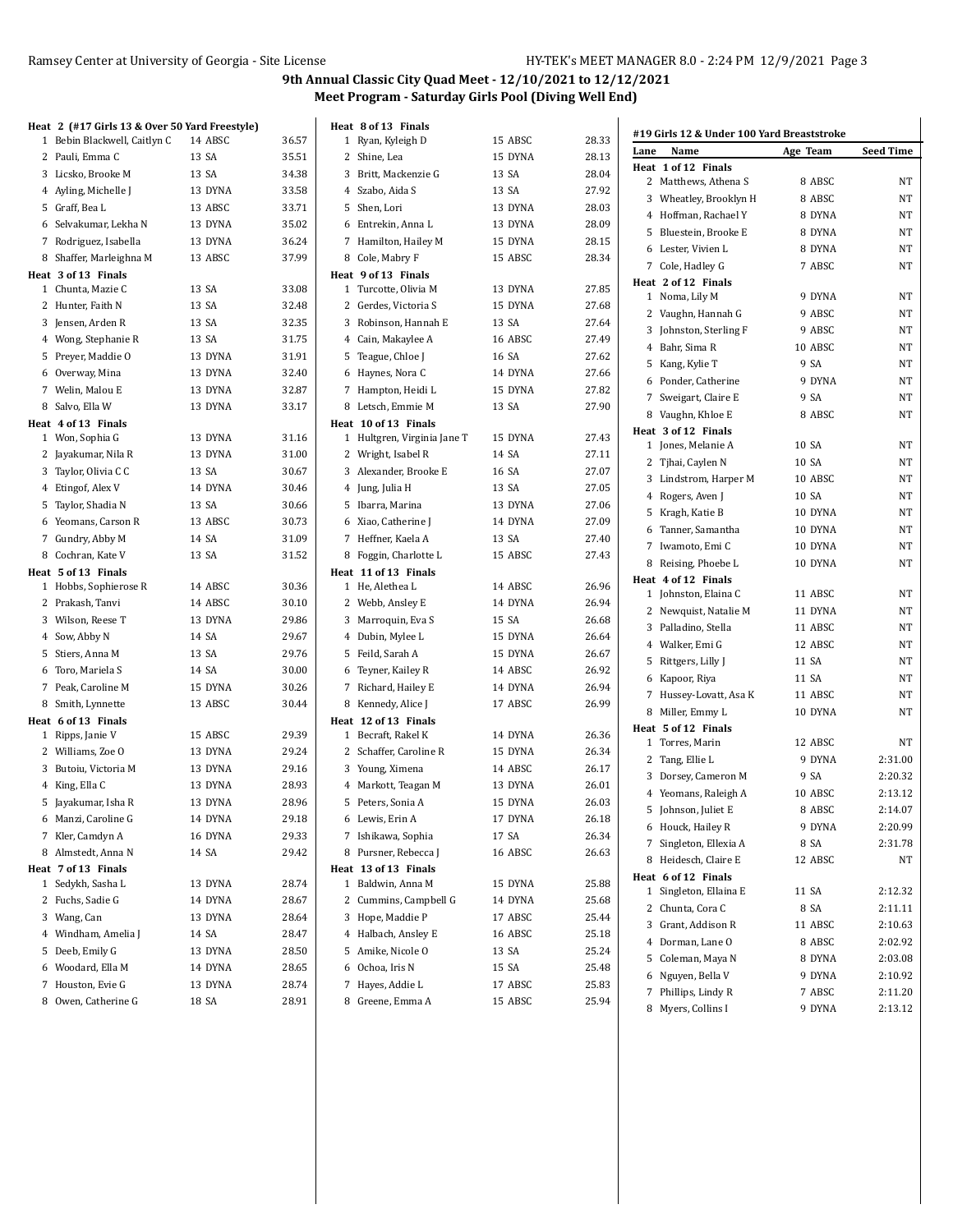|   | Heat 2 (#17 Girls 13 & Over 50 Yard Freestyle) |         |       | Heat 8 of 13 Finals                         |         |       |      |                                            |          |                        |
|---|------------------------------------------------|---------|-------|---------------------------------------------|---------|-------|------|--------------------------------------------|----------|------------------------|
|   | 1 Bebin Blackwell, Caitlyn C                   | 14 ABSC | 36.57 | 1 Ryan, Kyleigh D                           | 15 ABSC | 28.33 |      | #19 Girls 12 & Under 100 Yard Breaststroke |          |                        |
|   | 2 Pauli, Emma C                                | 13 SA   | 35.51 | 2 Shine, Lea                                | 15 DYNA | 28.13 | Lane | Name                                       | Age Team | <b>Seed Time</b>       |
|   | 3 Licsko, Brooke M                             | 13 SA   | 34.38 | 3 Britt, Mackenzie G                        | 13 SA   | 28.04 |      | Heat 1 of 12 Finals                        |          |                        |
|   | 4 Ayling, Michelle J                           | 13 DYNA | 33.58 | 4 Szabo, Aida S                             | 13 SA   | 27.92 |      | 2 Matthews, Athena S                       | 8 ABSC   | <b>NT</b>              |
|   | 5 Graff, Bea L                                 | 13 ABSC | 33.71 | 5 Shen, Lori                                | 13 DYNA | 28.03 |      | 3 Wheatley, Brooklyn H                     | 8 ABSC   | <b>NT</b>              |
|   | 6 Selvakumar, Lekha N                          | 13 DYNA | 35.02 | 6 Entrekin, Anna L                          | 13 DYNA | 28.09 |      | 4 Hoffman, Rachael Y                       | 8 DYNA   | <b>NT</b>              |
|   | 7 Rodriguez, Isabella                          | 13 DYNA | 36.24 | 7 Hamilton, Hailey M                        | 15 DYNA | 28.15 |      | 5 Bluestein, Brooke E                      | 8 DYNA   | <b>NT</b>              |
|   |                                                |         | 37.99 |                                             |         |       |      | 6 Lester, Vivien L                         | 8 DYNA   | NT                     |
|   | 8 Shaffer, Marleighna M<br>Heat 3 of 13 Finals | 13 ABSC |       | 8 Cole, Mabry F                             | 15 ABSC | 28.34 |      | 7 Cole, Hadley G                           | 7 ABSC   | <b>NT</b>              |
|   | 1 Chunta, Mazie C                              | 13 SA   | 33.08 | Heat 9 of 13 Finals<br>1 Turcotte, Olivia M | 13 DYNA | 27.85 |      | Heat 2 of 12 Finals                        |          |                        |
|   | 2 Hunter, Faith N                              | 13 SA   | 32.48 | 2 Gerdes, Victoria S                        | 15 DYNA | 27.68 |      | 1 Noma, Lily M                             | 9 DYNA   | <b>NT</b>              |
|   | 3 Jensen, Arden R                              | 13 SA   | 32.35 | 3 Robinson, Hannah E                        | 13 SA   | 27.64 |      | 2 Vaughn, Hannah G                         | 9 ABSC   | <b>NT</b>              |
|   |                                                | 13 SA   | 31.75 | 4 Cain, Makaylee A                          | 16 ABSC | 27.49 |      | 3 Johnston, Sterling F                     | 9 ABSC   | <b>NT</b>              |
|   | 4 Wong, Stephanie R                            |         |       |                                             |         |       |      | 4 Bahr, Sima R                             | 10 ABSC  | <b>NT</b>              |
|   | 5 Preyer, Maddie O                             | 13 DYNA | 31.91 | 5 Teague, Chloe J                           | 16 SA   | 27.62 |      | 5 Kang, Kylie T                            | 9 SA     | <b>NT</b>              |
|   | 6 Overway, Mina                                | 13 DYNA | 32.40 | 6 Haynes, Nora C                            | 14 DYNA | 27.66 |      | 6 Ponder, Catherine                        | 9 DYNA   | <b>NT</b>              |
|   | 7 Welin, Malou E                               | 13 DYNA | 32.87 | 7 Hampton, Heidi L                          | 15 DYNA | 27.82 |      | 7 Sweigart, Claire E                       | 9 SA     | NT                     |
|   | 8 Salvo, Ella W                                | 13 DYNA | 33.17 | 8 Letsch, Emmie M                           | 13 SA   | 27.90 |      | 8 Vaughn, Khloe E                          | 8 ABSC   | <b>NT</b>              |
|   | Heat 4 of 13 Finals                            |         |       | Heat 10 of 13 Finals                        |         |       |      | Heat 3 of 12 Finals                        |          |                        |
|   | 1 Won, Sophia G                                | 13 DYNA | 31.16 | 1 Hultgren, Virginia Jane T                 | 15 DYNA | 27.43 |      | 1 Jones, Melanie A                         | 10 SA    | <b>NT</b>              |
|   | 2 Jayakumar, Nila R                            | 13 DYNA | 31.00 | 2 Wright, Isabel R                          | 14 SA   | 27.11 |      | 2 Tjhai, Caylen N                          | 10 SA    | <b>NT</b>              |
|   | 3 Taylor, Olivia C C                           | 13 SA   | 30.67 | 3 Alexander, Brooke E                       | 16 SA   | 27.07 |      | 3 Lindstrom, Harper M                      | 10 ABSC  | <b>NT</b>              |
|   | 4 Etingof, Alex V                              | 14 DYNA | 30.46 | 4 Jung, Julia H                             | 13 SA   | 27.05 |      | 4 Rogers, Aven J                           | 10 SA    | <b>NT</b>              |
|   | 5 Taylor, Shadia N                             | 13 SA   | 30.66 | 5 Ibarra, Marina                            | 13 DYNA | 27.06 |      | 5 Kragh, Katie B                           | 10 DYNA  | <b>NT</b>              |
|   | 6 Yeomans, Carson R                            | 13 ABSC | 30.73 | 6 Xiao, Catherine J                         | 14 DYNA | 27.09 |      | 6 Tanner, Samantha                         | 10 DYNA  | <b>NT</b>              |
|   | 7 Gundry, Abby M                               | 14 SA   | 31.09 | 7 Heffner, Kaela A                          | 13 SA   | 27.40 |      | 7 Iwamoto, Emi C                           | 10 DYNA  | <b>NT</b>              |
|   | 8 Cochran, Kate V                              | 13 SA   | 31.52 | 8 Foggin, Charlotte L                       | 15 ABSC | 27.43 |      | 8 Reising, Phoebe L                        | 10 DYNA  | <b>NT</b>              |
|   | Heat 5 of 13 Finals                            |         |       | Heat 11 of 13 Finals                        |         |       |      | Heat 4 of 12 Finals                        |          |                        |
|   | 1 Hobbs, Sophierose R                          | 14 ABSC | 30.36 | 1 He, Alethea L                             | 14 ABSC | 26.96 |      | 1 Johnston, Elaina C                       | 11 ABSC  | <b>NT</b>              |
|   | 2 Prakash, Tanvi                               | 14 ABSC | 30.10 | 2 Webb, Ansley E                            | 14 DYNA | 26.94 |      | 2 Newquist, Natalie M                      | 11 DYNA  | <b>NT</b>              |
|   | 3 Wilson, Reese T                              | 13 DYNA | 29.86 | 3 Marroquin, Eva S                          | 15 SA   | 26.68 |      | 3 Palladino, Stella                        | 11 ABSC  | <b>NT</b>              |
|   | 4 Sow, Abby N                                  | 14 SA   | 29.67 | 4 Dubin, Mylee L                            | 15 DYNA | 26.64 |      | 4 Walker, Emi G                            | 12 ABSC  | <b>NT</b>              |
|   | 5 Stiers, Anna M                               | 13 SA   | 29.76 | 5 Feild, Sarah A                            | 15 DYNA | 26.67 |      | 5 Rittgers, Lilly J                        | 11 SA    | <b>NT</b>              |
|   | 6 Toro, Mariela S                              | 14 SA   | 30.00 | 6 Teyner, Kailey R                          | 14 ABSC | 26.92 |      | 6 Kapoor, Riya                             | 11 SA    | <b>NT</b>              |
|   | 7 Peak, Caroline M                             | 15 DYNA | 30.26 | 7 Richard, Hailey E                         | 14 DYNA | 26.94 |      |                                            |          |                        |
|   | 8 Smith, Lynnette                              | 13 ABSC | 30.44 | 8 Kennedy, Alice J                          | 17 ABSC | 26.99 |      | 7 Hussey-Lovatt, Asa K                     | 11 ABSC  | <b>NT</b><br><b>NT</b> |
|   | Heat 6 of 13 Finals                            |         |       | Heat 12 of 13 Finals                        |         |       |      | 8 Miller, Emmy L                           | 10 DYNA  |                        |
|   | 1 Ripps, Janie V                               | 15 ABSC | 29.39 | 1 Becraft, Rakel K                          | 14 DYNA | 26.36 |      | Heat 5 of 12 Finals<br>1 Torres, Marin     | 12 ABSC  | NT                     |
|   | 2 Williams, Zoe O                              | 13 DYNA | 29.24 | 2 Schaffer, Caroline R                      | 15 DYNA | 26.34 |      | 2 Tang, Ellie L                            | 9 DYNA   | 2:31.00                |
|   | 3 Butoiu, Victoria M                           | 13 DYNA | 29.16 | 3 Young, Ximena                             | 14 ABSC | 26.17 |      |                                            | 9 SA     | 2:20.32                |
|   | 4 King, Ella C                                 | 13 DYNA | 28.93 | 4 Markott, Teagan M                         | 13 DYNA | 26.01 |      | 3 Dorsey, Cameron M                        |          |                        |
|   | 5 Jayakumar, Isha R                            | 13 DYNA | 28.96 | 5 Peters, Sonia A                           | 15 DYNA | 26.03 |      | 4 Yeomans, Raleigh A                       | 10 ABSC  | 2:13.12                |
|   | 6 Manzi, Caroline G                            | 14 DYNA | 29.18 | 6 Lewis, Erin A                             | 17 DYNA | 26.18 |      | 5 Johnson, Juliet E                        | 8 ABSC   | 2:14.07                |
|   | 7 Kler, Camdyn A                               | 16 DYNA | 29.33 | 7 Ishikawa, Sophia                          | 17 SA   | 26.34 |      | 6 Houck, Hailey R                          | 9 DYNA   | 2:20.99                |
|   | 8 Almstedt, Anna N                             | 14 SA   | 29.42 | 8 Pursner, Rebecca J                        | 16 ABSC | 26.63 |      | 7 Singleton, Ellexia A                     | 8 SA     | 2:31.78                |
|   | Heat 7 of 13 Finals                            |         |       | Heat 13 of 13 Finals                        |         |       |      | 8 Heidesch, Claire E                       | 12 ABSC  | NT                     |
|   | 1 Sedykh, Sasha L                              | 13 DYNA | 28.74 | 1 Baldwin, Anna M                           | 15 DYNA | 25.88 |      | Heat 6 of 12 Finals                        |          |                        |
|   | 2 Fuchs, Sadie G                               | 14 DYNA | 28.67 | 2 Cummins, Campbell G                       | 14 DYNA | 25.68 |      | 1 Singleton, Ellaina E                     | 11 SA    | 2:12.32                |
|   | 3 Wang, Can                                    | 13 DYNA | 28.64 | 3 Hope, Maddie P                            | 17 ABSC | 25.44 |      | 2 Chunta, Cora C                           | 8 SA     | 2:11.11                |
|   | 4 Windham, Amelia J                            | 14 SA   | 28.47 | 4 Halbach, Ansley E                         | 16 ABSC | 25.18 |      | 3 Grant, Addison R                         | 11 ABSC  | 2:10.63                |
|   | 5 Deeb, Emily G                                | 13 DYNA | 28.50 | 5 Amike, Nicole O                           | 13 SA   | 25.24 |      | 4 Dorman, Lane O                           | 8 ABSC   | 2:02.92                |
| 6 | Woodard, Ella M                                | 14 DYNA | 28.65 | 6 Ochoa, Iris N                             | 15 SA   | 25.48 |      | 5 Coleman, Maya N                          | 8 DYNA   | 2:03.08                |
|   | 7 Houston, Evie G                              | 13 DYNA | 28.74 | 7 Hayes, Addie L                            | 17 ABSC | 25.83 |      | 6 Nguyen, Bella V                          | 9 DYNA   | 2:10.92                |
|   | 8 Owen, Catherine G                            | 18 SA   | 28.91 | 8 Greene, Emma A                            | 15 ABSC | 25.94 |      | 7 Phillips, Lindy R                        | 7 ABSC   | 2:11.20                |
|   |                                                |         |       |                                             |         |       |      | 8 Myers, Collins I                         | 9 DYNA   | 2:13.12                |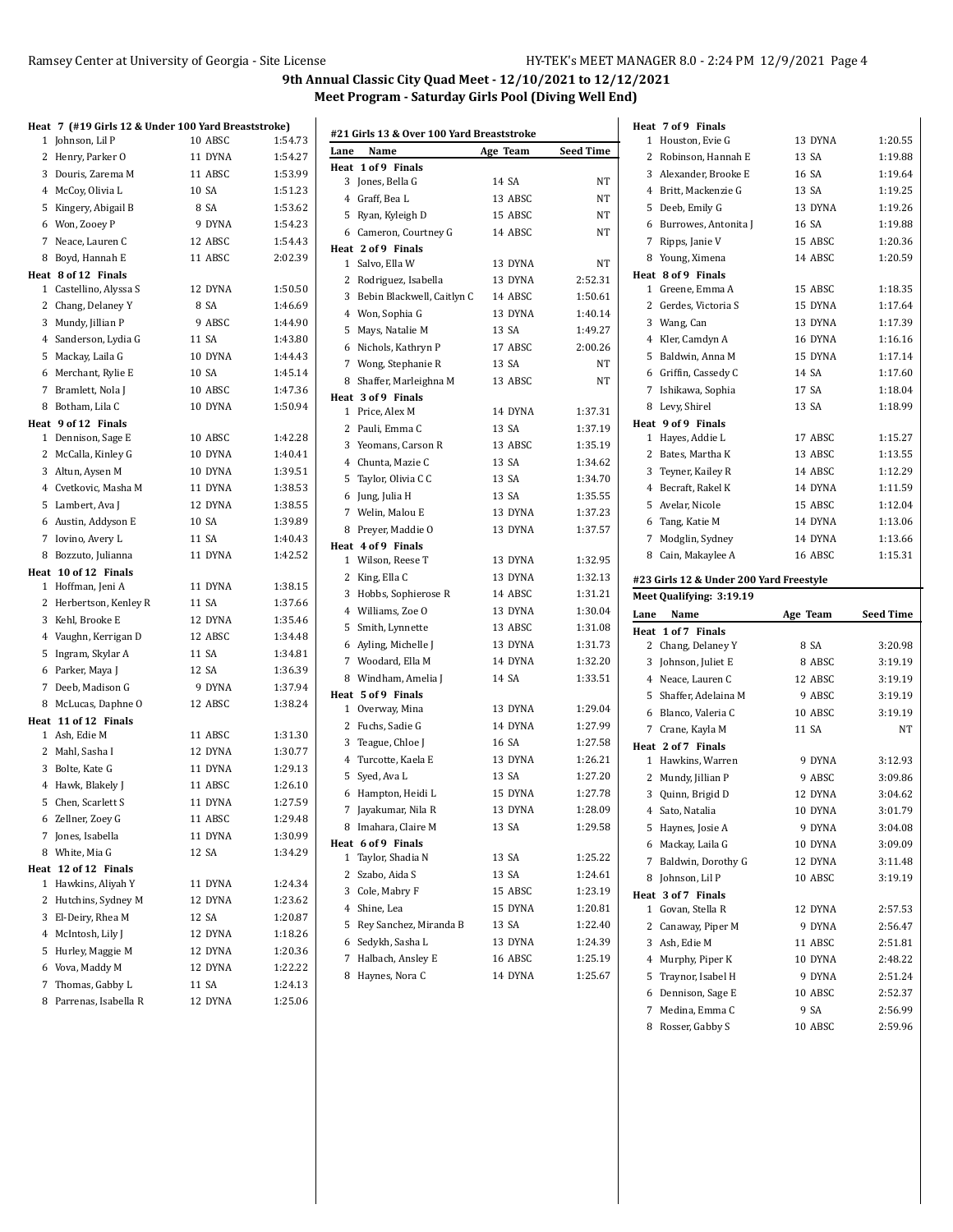|   | Heat   7  (#19 Girls 12 & Under 100 Yard Breaststroke) |         |         |
|---|--------------------------------------------------------|---------|---------|
|   | 1 Johnson, Lil P                                       | 10 ABSC | 1:54.73 |
|   | 2 Henry, Parker O                                      | 11 DYNA | 1:54.27 |
|   | 3 Douris, Zarema M                                     | 11 ABSC | 1:53.99 |
|   | 4 McCoy, Olivia L                                      | 10 SA   | 1:51.23 |
|   | 5 Kingery, Abigail B                                   | 8 SA    | 1:53.62 |
|   | 6 Won, Zooey P                                         | 9 DYNA  | 1:54.23 |
|   | 7 Neace, Lauren C                                      | 12 ABSC | 1:54.43 |
|   | 8 Boyd, Hannah E                                       | 11 ABSC | 2:02.39 |
|   | Heat 8 of 12 Finals                                    |         |         |
|   | 1 Castellino, Alyssa S                                 | 12 DYNA | 1:50.50 |
|   | 2 Chang, Delaney Y                                     | 8 SA    | 1:46.69 |
|   | 3 Mundy, Jillian P                                     | 9 ABSC  | 1:44.90 |
|   | 4 Sanderson, Lydia G                                   | 11 SA   | 1:43.80 |
|   | 5 Mackay, Laila G                                      | 10 DYNA | 1:44.43 |
|   | 6 Merchant, Rylie E                                    | 10 SA   | 1:45.14 |
|   | 7 Bramlett, Nola J                                     | 10 ABSC | 1:47.36 |
|   | 8 Botham, Lila C                                       | 10 DYNA | 1:50.94 |
|   | Heat 9 of 12 Finals                                    |         |         |
|   | 1 Dennison, Sage E                                     | 10 ABSC | 1:42.28 |
|   | 2 McCalla, Kinley G                                    | 10 DYNA | 1:40.41 |
|   | 3 Altun, Aysen M                                       | 10 DYNA | 1:39.51 |
|   | 4 Cvetkovic, Masha M                                   | 11 DYNA | 1:38.53 |
|   | 5 Lambert, Ava J                                       | 12 DYNA | 1:38.55 |
|   | 6 Austin, Addyson E                                    | 10 SA   | 1:39.89 |
|   | 7 Iovino, Avery L                                      | 11 SA   | 1:40.43 |
| 8 | Bozzuto, Julianna                                      | 11 DYNA | 1:42.52 |
|   | Heat 10 of 12 Finals                                   |         |         |
|   | 1 Hoffman, Jeni A                                      | 11 DYNA | 1:38.15 |
|   | 2 Herbertson, Kenley R                                 | 11 SA   | 1:37.66 |
|   | 3 Kehl, Brooke E                                       | 12 DYNA | 1:35.46 |
|   | 4 Vaughn, Kerrigan D                                   | 12 ABSC | 1:34.48 |
|   | 5 Ingram, Skylar A                                     | 11 SA   | 1:34.81 |
|   | 6 Parker, Maya J                                       | 12 SA   | 1:36.39 |
|   | 7 Deeb, Madison G                                      | 9 DYNA  | 1:37.94 |
|   | 8 McLucas, Daphne O                                    | 12 ABSC | 1:38.24 |
|   | Heat 11 of 12 Finals                                   |         |         |
|   | 1 Ash, Edie M                                          | 11 ABSC | 1:31.30 |
|   | 2 Mahl, Sasha I                                        | 12 DYNA | 1:30.77 |
|   | 3 Bolte, Kate G                                        | 11 DYNA | 1:29.13 |
|   | 4 Hawk, Blakely J                                      | 11 ABSC | 1:26.10 |
|   | 5 Chen, Scarlett S                                     | 11 DYNA | 1:27.59 |
|   | 6 Zellner, Zoey G                                      | 11 ABSC | 1:29.48 |
|   | 7 Jones, Isabella                                      | 11 DYNA | 1:30.99 |
| 8 | White, Mia G                                           | 12 SA   | 1:34.29 |
|   | Heat 12 of 12 Finals                                   |         |         |
| 1 | Hawkins, Aliyah Y                                      | 11 DYNA | 1:24.34 |
| 2 | Hutchins, Sydney M                                     | 12 DYNA | 1:23.62 |
|   | 3 El-Deiry, Rhea M                                     | 12 SA   | 1:20.87 |
|   | 4 McIntosh, Lily J                                     | 12 DYNA | 1:18.26 |
|   | 5 Hurley, Maggie M                                     | 12 DYNA | 1:20.36 |
|   | 6 Vova, Maddy M                                        | 12 DYNA | 1:22.22 |
| 7 | Thomas, Gabby L                                        | 11 SA   | 1:24.13 |
|   | 8 Parrenas, Isabella R                                 | 12 DYNA | 1:25.06 |

| #21 Girls 13 & Over 100 Yard Breaststroke |                              |          |                  |  |  |  |
|-------------------------------------------|------------------------------|----------|------------------|--|--|--|
| Lane                                      | Name                         | Age Team | <b>Seed Time</b> |  |  |  |
| Heat                                      | 1 of 9 Finals                |          |                  |  |  |  |
| 3                                         | Jones, Bella G               | 14 SA    | NΤ               |  |  |  |
|                                           | 4 Graff, Bea L               | 13 ABSC  | NT               |  |  |  |
|                                           | 5 Ryan, Kyleigh D            | 15 ABSC  | NT               |  |  |  |
|                                           | 6 Cameron, Courtney G        | 14 ABSC  | NT               |  |  |  |
|                                           | Heat 2 of 9 Finals           |          |                  |  |  |  |
| 1                                         | Salvo, Ella W                | 13 DYNA  | NT               |  |  |  |
|                                           | 2 Rodriguez, Isabella        | 13 DYNA  | 2:52.31          |  |  |  |
|                                           | 3 Bebin Blackwell, Caitlyn C | 14 ABSC  | 1:50.61          |  |  |  |
|                                           | 4 Won, Sophia G              | 13 DYNA  | 1:40.14          |  |  |  |
|                                           | 5 Mays, Natalie M            | 13 SA    | 1:49.27          |  |  |  |
|                                           | 6 Nichols, Kathryn P         | 17 ABSC  | 2:00.26          |  |  |  |
|                                           | 7 Wong, Stephanie R          | 13 SA    | NΤ               |  |  |  |
|                                           | 8 Shaffer, Marleighna M      | 13 ABSC  | NT               |  |  |  |
|                                           | Heat 3 of 9 Finals           |          |                  |  |  |  |
| 1                                         | Price, Alex M                | 14 DYNA  | 1:37.31          |  |  |  |
|                                           | 2 Pauli, Emma C              | 13 SA    | 1:37.19          |  |  |  |
|                                           | 3 Yeomans, Carson R          | 13 ABSC  | 1:35.19          |  |  |  |
|                                           | 4 Chunta, Mazie C            | 13 SA    | 1:34.62          |  |  |  |
|                                           | 5 Taylor, Olivia C C         | 13 SA    | 1:34.70          |  |  |  |
|                                           | 6 Jung, Julia H              | 13 SA    | 1:35.55          |  |  |  |
|                                           | 7 Welin, Malou E             | 13 DYNA  | 1:37.23          |  |  |  |
| 8                                         | Preyer, Maddie O             | 13 DYNA  | 1:37.57          |  |  |  |
|                                           | Heat 4 of 9 Finals           |          |                  |  |  |  |
| 1                                         | Wilson, Reese T              | 13 DYNA  | 1:32.95          |  |  |  |
|                                           | 2 King, Ella C               | 13 DYNA  | 1:32.13          |  |  |  |
|                                           | 3 Hobbs, Sophierose R        | 14 ABSC  | 1:31.21          |  |  |  |
|                                           | 4 Williams, Zoe O            | 13 DYNA  | 1:30.04          |  |  |  |
|                                           | 5 Smith, Lynnette            | 13 ABSC  | 1:31.08          |  |  |  |
|                                           | 6 Ayling, Michelle J         | 13 DYNA  | 1:31.73          |  |  |  |
|                                           | 7 Woodard, Ella M            | 14 DYNA  | 1:32.20          |  |  |  |
|                                           | 8 Windham, Amelia J          | 14 SA    | 1:33.51          |  |  |  |
|                                           | Heat 5 of 9 Finals           |          |                  |  |  |  |
| 1                                         | Overway, Mina                | 13 DYNA  | 1.29.04          |  |  |  |
|                                           | 2 Fuchs, Sadie G             | 14 DYNA  | 1:27.99          |  |  |  |
|                                           | 3 Teague, Chloe J            | 16 SA    | 1:27.58          |  |  |  |
|                                           | 4 Turcotte, Kaela E          | 13 DYNA  | 1:26.21          |  |  |  |
|                                           | 5 Syed, Ava L                | 13 SA    | 1:27.20          |  |  |  |
|                                           | 6 Hampton, Heidi L           | 15 DYNA  | 1:27.78          |  |  |  |
| 7                                         | Jayakumar, Nila R            | 13 DYNA  | 1:28.09          |  |  |  |
| 8                                         | Imahara, Claire M            | 13 SA    | 1:29.58          |  |  |  |
|                                           | Heat 6 of 9 Finals           |          |                  |  |  |  |
| 1                                         | Taylor, Shadia N             | 13 SA    | 1:25.22          |  |  |  |
| 2                                         | Szabo, Aida S                | 13 SA    | 1:24.61          |  |  |  |
|                                           | 3 Cole, Mabry F              | 15 ABSC  | 1:23.19          |  |  |  |
| $\overline{4}$                            | Shine, Lea                   | 15 DYNA  | 1:20.81          |  |  |  |
|                                           | 5 Rey Sanchez, Miranda B     | 13 SA    | 1:22.40          |  |  |  |
|                                           | 6 Sedykh, Sasha L            | 13 DYNA  | 1:24.39          |  |  |  |
| 7                                         | Halbach, Ansley E            | 16 ABSC  | 1:25.19          |  |  |  |
| 8                                         | Haynes, Nora C               | 14 DYNA  | 1:25.67          |  |  |  |

|           | Heat 7 of 9 Finals                      |                    |                    |
|-----------|-----------------------------------------|--------------------|--------------------|
|           | 1 Houston, Evie G                       | 13 DYNA            | 1:20.55            |
|           | 2 Robinson, Hannah E                    | 13 SA              | 1:19.88            |
|           | 3 Alexander, Brooke E                   | 16 SA              | 1:19.64            |
|           | 4 Britt, Mackenzie G                    | 13 SA              | 1:19.25            |
|           | 5 Deeb, Emily G                         | 13 DYNA            | 1:19.26            |
|           | 6 Burrowes, Antonita J                  | 16 SA              | 1:19.88            |
|           | 7 Ripps, Janie V                        | 15 ABSC            | 1:20.36            |
|           | 8 Young, Ximena                         | 14 ABSC            | 1:20.59            |
|           | Heat 8 of 9 Finals                      |                    |                    |
|           | 1 Greene, Emma A                        | 15 ABSC            | 1:18.35            |
|           | 2 Gerdes, Victoria S                    | 15 DYNA            | 1:17.64            |
|           | 3 Wang, Can                             | 13 DYNA            | 1:17.39            |
|           | 4 Kler, Camdyn A                        | 16 DYNA            | 1:16.16            |
|           | 5 Baldwin, Anna M                       | 15 DYNA            | 1:17.14            |
|           | 6 Griffin, Cassedy C                    | 14 SA              | 1:17.60            |
|           | 7 Ishikawa, Sophia                      | 17 SA              | 1:18.04            |
| 8         | Levy, Shirel                            | 13 SA              | 1:18.99            |
|           | Heat 9 of 9 Finals                      |                    |                    |
|           | 1 Hayes, Addie L                        | 17 ABSC            | 1:15.27            |
|           | 2 Bates, Martha K                       | 13 ABSC            | 1:13.55            |
|           | 3 Teyner, Kailey R                      | 14 ABSC            | 1:12.29            |
|           | 4 Becraft, Rakel K                      | 14 DYNA            | 1:11.59            |
|           | 5 Avelar, Nicole                        | 15 ABSC            | 1:12.04            |
|           | 6 Tang, Katie M                         | 14 DYNA            | 1:13.06            |
|           | 7 Modglin, Sydney                       | 14 DYNA            | 1:13.66            |
|           | 8 Cain, Makaylee A                      | 16 ABSC            | 1:15.31            |
|           |                                         |                    |                    |
|           | #23 Girls 12 & Under 200 Yard Freestyle |                    |                    |
|           |                                         |                    |                    |
|           | Meet Qualifying: 3:19.19                |                    |                    |
| Lane      | Name                                    | Age Team           | Seed Time          |
| Heat      | 1 of 7 Finals                           |                    |                    |
|           | 2 Chang, Delaney Y                      | 8 SA               | 3:20.98            |
|           | 3 Johnson, Juliet E                     | 8 ABSC             | 3:19.19            |
|           | 4 Neace, Lauren C                       | 12 ABSC            | 3:19.19            |
|           | 5 Shaffer, Adelaina M                   | 9 ABSC             | 3:19.19            |
|           | 6 Blanco, Valeria C                     | 10 ABSC            | 3:19.19            |
|           | 7 Crane, Kayla M                        | 11 SA              | NT                 |
|           | Heat 2 of 7 Finals                      |                    |                    |
|           | 1 Hawkins, Warren                       | 9 DYNA             | 3:12.93            |
|           | 2 Mundy, Jillian P                      | 9 ABSC             | 3:09.86            |
|           | 3 Quinn, Brigid D                       | 12 DYNA            | 3:04.62            |
|           | 4 Sato, Natalia                         | 10 DYNA            | 3:01.79            |
| 5         | Haynes, Josie A                         | 9 DYNA             | 3:04.08            |
| 6         | Mackay, Laila G                         | 10 DYNA            | 3:09.09            |
| 7         | Baldwin, Dorothy G                      | 12 DYNA            | 3:11.48            |
| 8         | Johnson, Lil P                          | 10 ABSC            | 3:19.19            |
| Heat<br>1 | 3 of 7 Finals                           |                    |                    |
|           | Govan, Stella R                         | 12 DYNA<br>9 DYNA  | 2:57.53            |
| 2         | Canaway, Piper M                        |                    | 2:56.47            |
| 3<br>4    | Ash, Edie M                             | 11 ABSC<br>10 DYNA | 2:51.81<br>2:48.22 |
|           | Murphy, Piper K                         |                    |                    |
| 5         | Traynor, Isabel H                       | 9 DYNA             | 2:51.24            |
| 6         | Dennison, Sage E                        | 10 ABSC            | 2:52.37            |
| 7<br>8    | Medina, Emma C<br>Rosser, Gabby S       | 9 SA<br>10 ABSC    | 2:56.99<br>2:59.96 |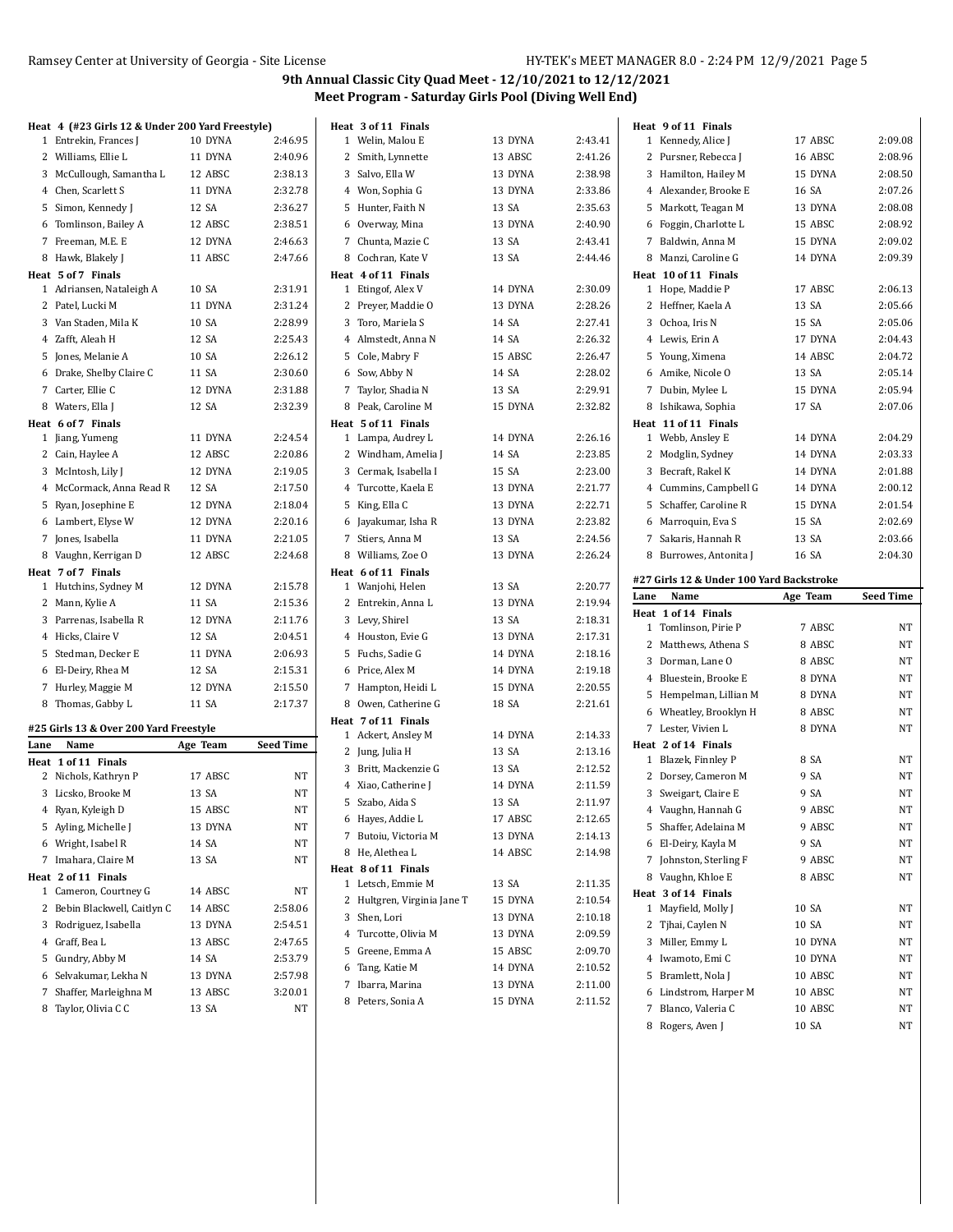|      | Heat 4 (#23 Girls 12 & Under 200 Yard Freestyle) |          |                  |   | Heat 3 of 11 Finals                      |         |         |      | Heat 9 of 11 Finals                      |                  |                  |
|------|--------------------------------------------------|----------|------------------|---|------------------------------------------|---------|---------|------|------------------------------------------|------------------|------------------|
|      | 1 Entrekin, Frances J                            | 10 DYNA  | 2:46.95          |   | 1 Welin, Malou E                         | 13 DYNA | 2:43.41 |      | 1 Kennedy, Alice J                       | 17 ABSC          | 2:09.08          |
|      | 2 Williams, Ellie L                              | 11 DYNA  | 2:40.96          |   | 2 Smith, Lynnette                        | 13 ABSC | 2:41.26 |      | 2 Pursner, Rebecca J                     | 16 ABSC          | 2:08.96          |
|      | 3 McCullough, Samantha L                         | 12 ABSC  | 2:38.13          |   | 3 Salvo, Ella W                          | 13 DYNA | 2:38.98 |      | 3 Hamilton, Hailey M                     | 15 DYNA          | 2:08.50          |
|      | 4 Chen, Scarlett S                               | 11 DYNA  | 2:32.78          |   | 4 Won, Sophia G                          | 13 DYNA | 2:33.86 |      | 4 Alexander, Brooke E                    | 16 SA            | 2:07.26          |
|      | 5 Simon, Kennedy J                               | 12 SA    | 2:36.27          |   | 5 Hunter, Faith N                        | 13 SA   | 2:35.63 |      | 5 Markott, Teagan M                      | 13 DYNA          | 2:08.08          |
|      | 6 Tomlinson, Bailey A                            | 12 ABSC  | 2:38.51          |   | 6 Overway, Mina                          | 13 DYNA | 2:40.90 |      | 6 Foggin, Charlotte L                    | 15 ABSC          | 2:08.92          |
|      | 7 Freeman, M.E. E                                | 12 DYNA  | 2:46.63          |   | 7 Chunta, Mazie C                        | 13 SA   | 2:43.41 |      | 7 Baldwin, Anna M                        | 15 DYNA          | 2:09.02          |
|      | 8 Hawk, Blakely J                                | 11 ABSC  | 2:47.66          | 8 | Cochran, Kate V                          | 13 SA   | 2:44.46 |      | 8 Manzi, Caroline G                      | 14 DYNA          | 2:09.39          |
|      | Heat 5 of 7 Finals                               |          |                  |   | Heat 4 of 11 Finals                      |         |         |      | Heat 10 of 11 Finals                     |                  |                  |
|      | 1 Adriansen, Nataleigh A                         | 10 SA    | 2:31.91          |   | 1 Etingof, Alex V                        | 14 DYNA | 2:30.09 |      | 1 Hope, Maddie P                         | 17 ABSC          | 2:06.13          |
|      | 2 Patel, Lucki M                                 | 11 DYNA  | 2:31.24          |   | 2 Preyer, Maddie O                       | 13 DYNA | 2:28.26 |      | 2 Heffner, Kaela A                       | 13 SA            | 2:05.66          |
|      | 3 Van Staden, Mila K                             | 10 SA    | 2:28.99          |   | 3 Toro, Mariela S                        | 14 SA   | 2:27.41 |      | 3 Ochoa, Iris N                          | 15 SA            | 2:05.06          |
|      | 4 Zafft, Aleah H                                 | 12 SA    | 2:25.43          |   | 4 Almstedt, Anna N                       | 14 SA   | 2:26.32 |      | 4 Lewis, Erin A                          | 17 DYNA          | 2:04.43          |
|      | 5 Jones, Melanie A                               | 10 SA    | 2:26.12          |   | 5 Cole, Mabry F                          | 15 ABSC | 2:26.47 |      | 5 Young, Ximena                          | 14 ABSC          | 2:04.72          |
|      | 6 Drake, Shelby Claire C                         | 11 SA    | 2:30.60          |   | 6 Sow, Abby N                            | 14 SA   | 2:28.02 |      | 6 Amike, Nicole O                        | 13 SA            | 2:05.14          |
|      | 7 Carter, Ellie C                                | 12 DYNA  | 2:31.88          |   | 7 Taylor, Shadia N                       | 13 SA   | 2:29.91 |      | 7 Dubin, Mylee L                         | 15 DYNA          | 2:05.94          |
|      | 8 Waters, Ella J                                 | 12 SA    | 2:32.39          | 8 | Peak, Caroline M                         | 15 DYNA | 2:32.82 |      | 8 Ishikawa, Sophia                       | 17 SA            | 2:07.06          |
|      | Heat 6 of 7 Finals                               |          |                  |   | Heat 5 of 11 Finals                      |         |         |      | Heat 11 of 11 Finals                     |                  |                  |
|      | 1 Jiang, Yumeng                                  | 11 DYNA  | 2:24.54          |   | 1 Lampa, Audrey L                        | 14 DYNA | 2:26.16 |      | 1 Webb, Ansley E                         | 14 DYNA          | 2:04.29          |
|      | 2 Cain, Haylee A                                 | 12 ABSC  | 2:20.86          |   | 2 Windham, Amelia J                      | 14 SA   | 2:23.85 |      | 2 Modglin, Sydney                        | 14 DYNA          | 2:03.33          |
|      | 3 McIntosh, Lily J                               | 12 DYNA  | 2:19.05          |   | 3 Cermak, Isabella I                     | 15 SA   | 2:23.00 |      | 3 Becraft, Rakel K                       | 14 DYNA          | 2:01.88          |
|      | 4 McCormack, Anna Read R                         | 12 SA    | 2:17.50          |   | 4 Turcotte, Kaela E                      | 13 DYNA | 2:21.77 |      | 4 Cummins, Campbell G                    | 14 DYNA          | 2:00.12          |
|      | 5 Ryan, Josephine E                              | 12 DYNA  | 2:18.04          |   | 5 King, Ella C                           | 13 DYNA | 2:22.71 |      | 5 Schaffer, Caroline R                   | 15 DYNA          | 2:01.54          |
|      | 6 Lambert, Elyse W                               | 12 DYNA  | 2:20.16          |   | 6 Jayakumar, Isha R                      | 13 DYNA | 2:23.82 |      | 6 Marroquin, Eva S                       | 15 SA            | 2:02.69          |
|      | 7 Jones, Isabella                                | 11 DYNA  | 2:21.05          |   | 7 Stiers, Anna M                         | 13 SA   | 2:24.56 |      | 7 Sakaris, Hannah R                      | 13 SA            | 2:03.66          |
|      | 8 Vaughn, Kerrigan D                             | 12 ABSC  | 2:24.68          | 8 | Williams, Zoe O                          | 13 DYNA | 2:26.24 |      | 8 Burrowes, Antonita J                   | 16 SA            | 2:04.30          |
|      | Heat 7 of 7 Finals                               |          |                  |   | Heat 6 of 11 Finals                      |         |         |      |                                          |                  |                  |
|      |                                                  |          |                  |   |                                          |         |         |      |                                          |                  |                  |
|      | 1 Hutchins, Sydney M                             | 12 DYNA  | 2:15.78          |   | 1 Wanjohi, Helen                         | 13 SA   | 2:20.77 |      | #27 Girls 12 & Under 100 Yard Backstroke |                  |                  |
|      | 2 Mann, Kylie A                                  | 11 SA    | 2:15.36          |   | 2 Entrekin, Anna L                       | 13 DYNA | 2:19.94 | Lane | Name                                     | Age Team         | <b>Seed Time</b> |
|      | 3 Parrenas, Isabella R                           | 12 DYNA  | 2:11.76          |   | 3 Levy, Shirel                           | 13 SA   | 2:18.31 |      | Heat 1 of 14 Finals                      |                  |                  |
|      | 4 Hicks, Claire V                                | 12 SA    | 2:04.51          |   | 4 Houston, Evie G                        | 13 DYNA | 2:17.31 |      | 1 Tomlinson, Pirie P                     | 7 ABSC           | NT               |
|      | 5 Stedman, Decker E                              | 11 DYNA  | 2:06.93          |   | 5 Fuchs, Sadie G                         | 14 DYNA | 2:18.16 |      | 2 Matthews, Athena S                     | 8 ABSC           | NT               |
|      | 6 El-Deiry, Rhea M                               | 12 SA    | 2:15.31          |   | 6 Price, Alex M                          | 14 DYNA | 2:19.18 |      | 3 Dorman, Lane O                         | 8 ABSC           | NT               |
|      | 7 Hurley, Maggie M                               | 12 DYNA  | 2:15.50          |   | 7 Hampton, Heidi L                       | 15 DYNA | 2:20.55 |      | 4 Bluestein, Brooke E                    | 8 DYNA           | NT               |
|      | 8 Thomas, Gabby L                                | 11 SA    | 2:17.37          |   | 8 Owen, Catherine G                      | 18 SA   | 2:21.61 |      | 5 Hempelman, Lillian M                   | 8 DYNA           | NT               |
|      |                                                  |          |                  |   | Heat 7 of 11 Finals                      |         |         |      | 6 Wheatley, Brooklyn H                   | 8 ABSC           | NT               |
|      | #25 Girls 13 & Over 200 Yard Freestyle           |          |                  |   | 1 Ackert, Ansley M                       | 14 DYNA | 2:14.33 |      | 7 Lester, Vivien L                       | 8 DYNA           | NT               |
| Lane | Name                                             | Age Team | <b>Seed Time</b> |   | 2 Jung, Julia H                          | 13 SA   | 2:13.16 |      | Heat 2 of 14 Finals                      |                  |                  |
|      | Heat 1 of 11 Finals                              |          |                  |   | 3 Britt, Mackenzie G                     | 13 SA   | 2:12.52 |      | 1 Blazek, Finnley P                      | 8 SA             | NT               |
|      | 2 Nichols, Kathryn P                             | 17 ABSC  | NT               |   | 4 Xiao, Catherine J                      | 14 DYNA | 2:11.59 |      | 2 Dorsey, Cameron M                      | 9 SA             | NT               |
|      | 3 Licsko, Brooke M                               | 13 SA    | NT               |   | 5 Szabo, Aida S                          | 13 SA   | 2:11.97 |      | 3 Sweigart, Claire E                     | 9 SA             | NT               |
|      | 4 Ryan, Kyleigh D                                | 15 ABSC  | NT               |   | 6 Hayes, Addie L                         | 17 ABSC | 2:12.65 |      | 4 Vaughn, Hannah G                       | 9 ABSC           | <b>NT</b>        |
|      | 5 Ayling, Michelle J                             | 13 DYNA  | NT               |   | 7 Butoiu, Victoria M                     | 13 DYNA | 2:14.13 |      | 5 Shaffer, Adelaina M                    | 9 ABSC           | NT               |
|      | 6 Wright, Isabel R                               | 14 SA    | NT               |   | 8 He, Alethea L                          | 14 ABSC | 2:14.98 |      | 6 El-Deiry, Kayla M                      | 9 SA             | NT               |
|      | 7 Imahara, Claire M                              | 13 SA    | NT               |   |                                          |         |         |      | 7 Johnston, Sterling F                   | 9 ABSC           | NT               |
|      | Heat 2 of 11 Finals                              |          |                  |   | Heat 8 of 11 Finals<br>1 Letsch, Emmie M | 13 SA   | 2:11.35 |      | 8 Vaughn, Khloe E                        | 8 ABSC           | NT               |
|      | 1 Cameron, Courtney G                            | 14 ABSC  | NT               |   | 2 Hultgren, Virginia Jane T              | 15 DYNA | 2:10.54 |      | Heat 3 of 14 Finals                      |                  |                  |
|      | 2 Bebin Blackwell, Caitlyn C                     | 14 ABSC  | 2:58.06          |   | 3 Shen, Lori                             | 13 DYNA | 2:10.18 |      | 1 Mayfield, Molly J                      | 10 SA            | NT               |
|      | 3 Rodriguez, Isabella                            | 13 DYNA  | 2:54.51          |   | 4 Turcotte, Olivia M                     | 13 DYNA | 2:09.59 |      | 2 Tjhai, Caylen N                        | 10 SA            | NT               |
|      | 4 Graff, Bea L                                   | 13 ABSC  | 2:47.65          |   | 5 Greene, Emma A                         | 15 ABSC | 2:09.70 |      | 3 Miller, Emmy L                         | 10 DYNA          | NT               |
|      | 5 Gundry, Abby M                                 | 14 SA    | 2:53.79          |   | 6 Tang, Katie M                          | 14 DYNA | 2:10.52 |      | 4 Iwamoto, Emi C                         | 10 DYNA          | NT               |
|      | 6 Selvakumar, Lekha N                            | 13 DYNA  | 2:57.98          |   | 7 Ibarra, Marina                         | 13 DYNA | 2:11.00 |      | 5 Bramlett, Nola J                       | 10 ABSC          | NT               |
|      | 7 Shaffer, Marleighna M                          | 13 ABSC  | 3:20.01          |   | 8 Peters, Sonia A                        | 15 DYNA | 2:11.52 |      | 6 Lindstrom, Harper M                    | 10 ABSC          | NT               |
|      | 8 Taylor, Olivia C C                             | 13 SA    | NT               |   |                                          |         |         |      | 7 Blanco, Valeria C<br>8 Rogers, Aven J  | 10 ABSC<br>10 SA | NT<br>NT         |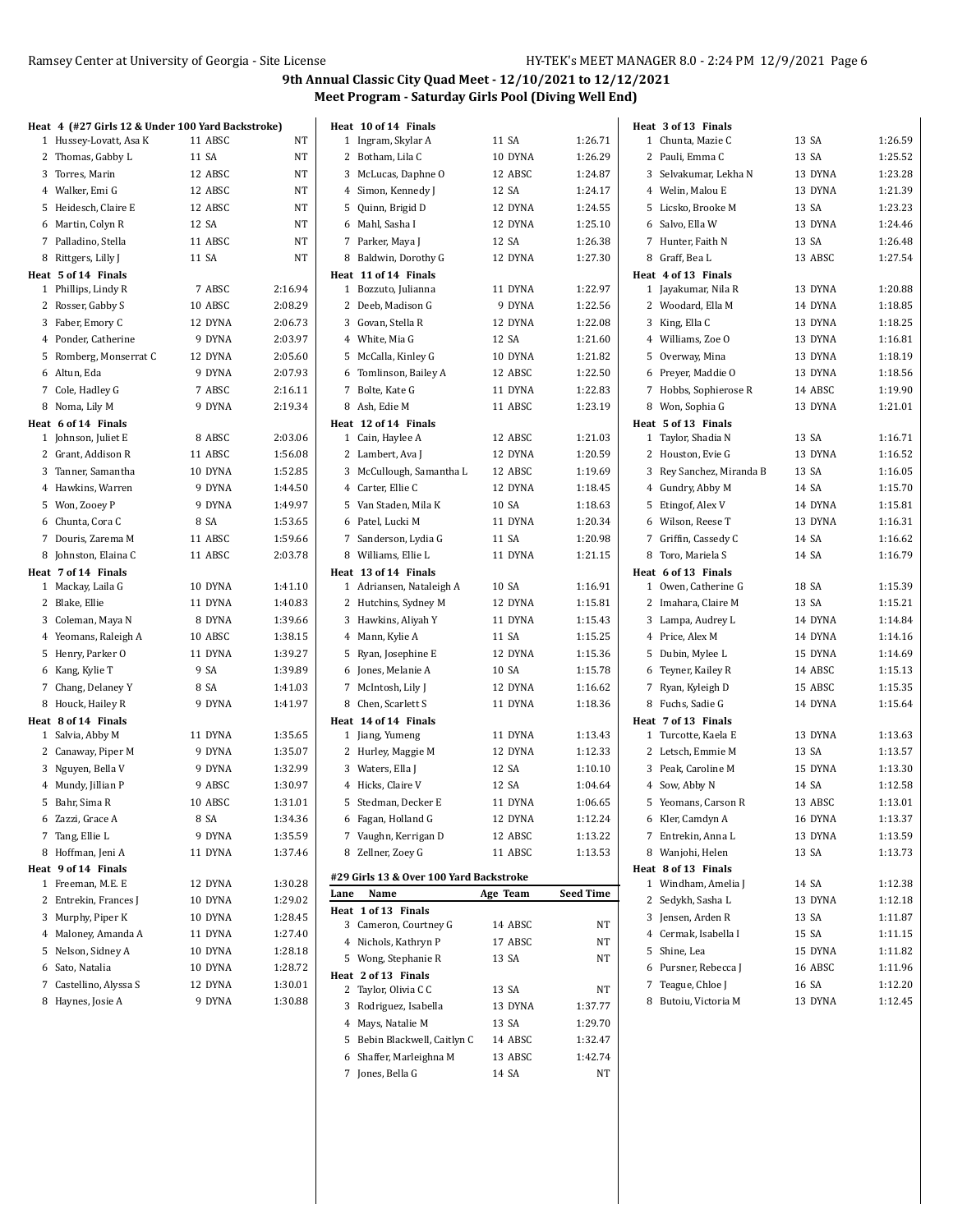| Heat 4 (#27 Girls 12 & Under 100 Yard Backstroke) |         |         |      | Heat 10 of 14 Finals                    |          |                  | Heat 3 of 13 Finals      |         |         |
|---------------------------------------------------|---------|---------|------|-----------------------------------------|----------|------------------|--------------------------|---------|---------|
| 1 Hussey-Lovatt, Asa K                            | 11 ABSC | NT      |      | 1 Ingram, Skylar A                      | 11 SA    | 1:26.71          | 1 Chunta, Mazie C        | 13 SA   | 1:26.59 |
| 2 Thomas, Gabby L                                 | 11 SA   | NT      |      | 2 Botham, Lila C                        | 10 DYNA  | 1:26.29          | 2 Pauli, Emma C          | 13 SA   | 1:25.52 |
| 3 Torres, Marin                                   | 12 ABSC | NT      |      | 3 McLucas, Daphne O                     | 12 ABSC  | 1:24.87          | 3 Selvakumar, Lekha N    | 13 DYNA | 1:23.28 |
| 4 Walker, Emi G                                   | 12 ABSC | NT      |      | 4 Simon, Kennedy J                      | 12 SA    | 1:24.17          | 4 Welin, Malou E         | 13 DYNA | 1:21.39 |
| 5 Heidesch, Claire E                              | 12 ABSC | NT      |      | 5 Quinn, Brigid D                       | 12 DYNA  | 1:24.55          | 5 Licsko, Brooke M       | 13 SA   | 1:23.23 |
| 6 Martin, Colyn R                                 | 12 SA   | NT      |      | 6 Mahl, Sasha I                         | 12 DYNA  | 1:25.10          | 6 Salvo, Ella W          | 13 DYNA | 1:24.46 |
| 7 Palladino, Stella                               | 11 ABSC | NT      |      | 7 Parker, Maya J                        | 12 SA    | 1:26.38          | 7 Hunter, Faith N        | 13 SA   | 1:26.48 |
| 8 Rittgers, Lilly J                               | 11 SA   | NT      |      | 8 Baldwin, Dorothy G                    | 12 DYNA  | 1:27.30          | 8 Graff, Bea L           | 13 ABSC | 1:27.54 |
| Heat 5 of 14 Finals                               |         |         |      | Heat 11 of 14 Finals                    |          |                  | Heat 4 of 13 Finals      |         |         |
| 1 Phillips, Lindy R                               | 7 ABSC  | 2:16.94 |      | 1 Bozzuto, Julianna                     | 11 DYNA  | 1:22.97          | 1 Jayakumar, Nila R      | 13 DYNA | 1:20.88 |
| 2 Rosser, Gabby S                                 | 10 ABSC | 2:08.29 |      | 2 Deeb, Madison G                       | 9 DYNA   | 1:22.56          | 2 Woodard, Ella M        | 14 DYNA | 1:18.85 |
| 3 Faber, Emory C                                  | 12 DYNA | 2:06.73 |      | 3 Govan, Stella R                       | 12 DYNA  | 1:22.08          | 3 King, Ella C           | 13 DYNA | 1:18.25 |
| 4 Ponder, Catherine                               | 9 DYNA  | 2:03.97 |      | 4 White, Mia G                          | 12 SA    | 1:21.60          | 4 Williams, Zoe O        | 13 DYNA | 1:16.81 |
| 5 Romberg, Monserrat C                            | 12 DYNA | 2:05.60 |      | 5 McCalla, Kinley G                     | 10 DYNA  | 1:21.82          | 5 Overway, Mina          | 13 DYNA | 1:18.19 |
| 6 Altun, Eda                                      | 9 DYNA  | 2:07.93 |      | 6 Tomlinson, Bailey A                   | 12 ABSC  | 1:22.50          | 6 Preyer, Maddie O       | 13 DYNA | 1:18.56 |
| 7 Cole, Hadley G                                  | 7 ABSC  | 2:16.11 |      | 7 Bolte, Kate G                         | 11 DYNA  | 1:22.83          | 7 Hobbs, Sophierose R    | 14 ABSC | 1:19.90 |
| 8 Noma, Lily M                                    | 9 DYNA  | 2:19.34 |      | 8 Ash, Edie M                           | 11 ABSC  | 1:23.19          | 8 Won, Sophia G          | 13 DYNA | 1:21.01 |
| Heat 6 of 14 Finals                               |         |         |      | Heat 12 of 14 Finals                    |          |                  | Heat 5 of 13 Finals      |         |         |
| 1 Johnson, Juliet E                               | 8 ABSC  | 2:03.06 |      | 1 Cain, Haylee A                        | 12 ABSC  | 1:21.03          | 1 Taylor, Shadia N       | 13 SA   | 1:16.71 |
| 2 Grant, Addison R                                | 11 ABSC | 1:56.08 |      | 2 Lambert, Ava J                        | 12 DYNA  | 1:20.59          | 2 Houston, Evie G        | 13 DYNA | 1:16.52 |
| 3 Tanner, Samantha                                | 10 DYNA | 1:52.85 |      | 3 McCullough, Samantha L                | 12 ABSC  | 1:19.69          | 3 Rey Sanchez, Miranda B | 13 SA   | 1:16.05 |
| 4 Hawkins, Warren                                 | 9 DYNA  | 1:44.50 |      | 4 Carter, Ellie C                       | 12 DYNA  | 1:18.45          | 4 Gundry, Abby M         | 14 SA   | 1:15.70 |
| 5 Won, Zooey P                                    | 9 DYNA  | 1:49.97 |      | 5 Van Staden, Mila K                    | 10 SA    | 1:18.63          | 5 Etingof, Alex V        | 14 DYNA | 1:15.81 |
| 6 Chunta, Cora C                                  | 8 SA    | 1:53.65 |      | 6 Patel, Lucki M                        | 11 DYNA  | 1:20.34          | 6 Wilson, Reese T        | 13 DYNA | 1:16.31 |
| 7 Douris, Zarema M                                | 11 ABSC | 1:59.66 |      | 7 Sanderson, Lydia G                    | 11 SA    | 1:20.98          | 7 Griffin, Cassedy C     | 14 SA   | 1:16.62 |
| 8 Johnston, Elaina C                              | 11 ABSC | 2:03.78 |      | 8 Williams, Ellie L                     | 11 DYNA  | 1:21.15          | 8 Toro, Mariela S        | 14 SA   | 1:16.79 |
| Heat 7 of 14 Finals                               |         |         |      | Heat 13 of 14 Finals                    |          |                  | Heat 6 of 13 Finals      |         |         |
| 1 Mackay, Laila G                                 | 10 DYNA | 1:41.10 |      | 1 Adriansen, Nataleigh A                | 10 SA    | 1:16.91          | 1 Owen, Catherine G      | 18 SA   | 1:15.39 |
| 2 Blake, Ellie                                    | 11 DYNA | 1:40.83 |      | 2 Hutchins, Sydney M                    | 12 DYNA  | 1:15.81          | 2 Imahara, Claire M      | 13 SA   | 1:15.21 |
| 3 Coleman, Maya N                                 | 8 DYNA  | 1:39.66 |      | 3 Hawkins, Aliyah Y                     | 11 DYNA  | 1:15.43          | 3 Lampa, Audrey L        | 14 DYNA | 1:14.84 |
| 4 Yeomans, Raleigh A                              | 10 ABSC | 1:38.15 |      | 4 Mann, Kylie A                         | 11 SA    | 1:15.25          | 4 Price, Alex M          | 14 DYNA | 1:14.16 |
| 5 Henry, Parker O                                 | 11 DYNA | 1:39.27 |      | 5 Ryan, Josephine E                     | 12 DYNA  | 1:15.36          | 5 Dubin, Mylee L         | 15 DYNA | 1:14.69 |
| 6 Kang, Kylie T                                   | 9 SA    | 1:39.89 |      | 6 Jones, Melanie A                      | 10 SA    | 1:15.78          | 6 Teyner, Kailey R       | 14 ABSC | 1:15.13 |
| 7 Chang, Delaney Y                                | 8 SA    | 1:41.03 |      | 7 McIntosh, Lily J                      | 12 DYNA  | 1:16.62          | 7 Ryan, Kyleigh D        | 15 ABSC | 1:15.35 |
| 8 Houck, Hailey R                                 | 9 DYNA  | 1:41.97 |      | 8 Chen, Scarlett S                      | 11 DYNA  | 1:18.36          | 8 Fuchs, Sadie G         | 14 DYNA | 1:15.64 |
| Heat 8 of 14 Finals                               |         |         |      | Heat 14 of 14 Finals                    |          |                  | Heat 7 of 13 Finals      |         |         |
| 1 Salvia, Abby M                                  | 11 DYNA | 1:35.65 |      | 1 Jiang, Yumeng                         | 11 DYNA  | 1:13.43          | 1 Turcotte, Kaela E      | 13 DYNA | 1:13.63 |
| 2 Canaway, Piper M                                | 9 DYNA  | 1:35.07 |      | 2 Hurley, Maggie M                      | 12 DYNA  | 1:12.33          | 2 Letsch, Emmie M        | 13 SA   | 1:13.57 |
| 3 Nguyen, Bella V                                 | 9 DYNA  | 1:32.99 |      | 3 Waters, Ella J                        | 12 SA    | 1:10.10          | 3 Peak, Caroline M       | 15 DYNA | 1:13.30 |
| 4 Mundy, Jillian P                                | 9 ABSC  | 1:30.97 |      | 4 Hicks, Claire V                       | 12 SA    | 1:04.64          | 4 Sow, Abby N            | 14 SA   | 1:12.58 |
| 5 Bahr, Sima R                                    | 10 ABSC | 1:31.01 |      | 5 Stedman, Decker E                     | 11 DYNA  | 1:06.65          | 5 Yeomans, Carson R      | 13 ABSC | 1:13.01 |
| 6 Zazzi, Grace A                                  | 8 SA    | 1:34.36 |      | 6 Fagan, Holland G                      | 12 DYNA  | 1:12.24          | 6 Kler, Camdyn A         | 16 DYNA | 1:13.37 |
| 7 Tang, Ellie L                                   | 9 DYNA  | 1:35.59 |      | 7 Vaughn, Kerrigan D                    | 12 ABSC  | 1:13.22          | 7 Entrekin, Anna L       | 13 DYNA | 1:13.59 |
| 8 Hoffman, Jeni A                                 | 11 DYNA | 1:37.46 |      | 8 Zellner, Zoey G                       | 11 ABSC  | 1:13.53          | 8 Wanjohi, Helen         | 13 SA   | 1:13.73 |
| Heat 9 of 14 Finals                               |         |         |      | #29 Girls 13 & Over 100 Yard Backstroke |          |                  | Heat 8 of 13 Finals      |         |         |
| 1 Freeman, M.E. E                                 | 12 DYNA | 1:30.28 | Lane | Name                                    | Age Team | <b>Seed Time</b> | 1 Windham, Amelia J      | 14 SA   | 1:12.38 |
| 2 Entrekin, Frances J                             | 10 DYNA | 1:29.02 |      | Heat 1 of 13 Finals                     |          |                  | 2 Sedykh, Sasha L        | 13 DYNA | 1:12.18 |
| 3 Murphy, Piper K                                 | 10 DYNA | 1:28.45 |      | 3 Cameron, Courtney G                   | 14 ABSC  | NΤ               | 3 Jensen, Arden R        | 13 SA   | 1:11.87 |
| 4 Maloney, Amanda A                               | 11 DYNA | 1:27.40 |      | 4 Nichols, Kathryn P                    | 17 ABSC  | NT               | 4 Cermak, Isabella I     | 15 SA   | 1:11.15 |
| 5 Nelson, Sidney A                                | 10 DYNA | 1:28.18 |      | 5 Wong, Stephanie R                     | 13 SA    | NΤ               | 5 Shine, Lea             | 15 DYNA | 1:11.82 |
| 6 Sato, Natalia                                   | 10 DYNA | 1:28.72 |      | Heat 2 of 13 Finals                     |          |                  | 6 Pursner, Rebecca J     | 16 ABSC | 1:11.96 |
| 7 Castellino, Alyssa S                            | 12 DYNA | 1:30.01 |      | 2 Taylor, Olivia C C                    | 13 SA    | NT               | 7 Teague, Chloe J        | 16 SA   | 1:12.20 |
| 8 Haynes, Josie A                                 | 9 DYNA  | 1:30.88 |      | 3 Rodriguez, Isabella                   | 13 DYNA  | 1.37.77          | 8 Butoiu, Victoria M     | 13 DYNA | 1:12.45 |
|                                                   |         |         |      | 4 Mays, Natalie M                       | 13 SA    | 1:29.70          |                          |         |         |

 Bebin Blackwell, Caitlyn C 14 ABSC 1:32.47 Shaffer, Marleighna M 13 ABSC 1:42.74 Jones, Bella G 14 SA NT